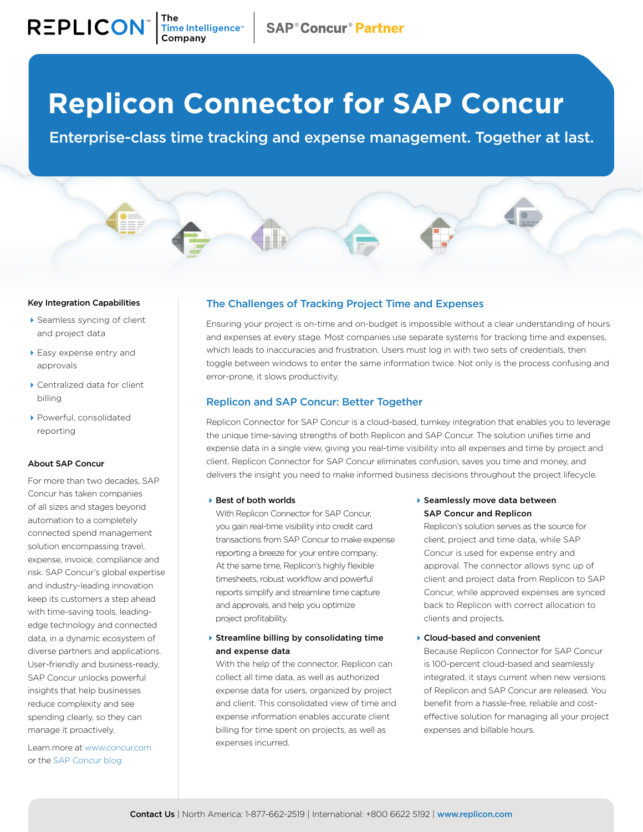# **Replicon Connector for SAP Concur**

Enterprise-class time tracking and expense management. Together at last.

#### Key Integration Capabilities

 $\mathsf{REPLICON}^*$  The Intelligence  $\mathsf{REPLICON}^*$ 

- Seamless syncing of client and project data
- ▶ Easy expense entry and approvals
- Centralized data for client billing
- Powerful, consolidated reporting

#### About SAP Concur

For more than two decades, SAP Concur has taken companies of all sizes and stages beyond automation to a completely connected spend management solution encompassing travel, expense, invoice, compliance and risk. SAP Concur's global expertise and industry-leading innovation keep its customers a step ahead with time-saving tools, leadingedge technology and connected data, in a dynamic ecosystem of diverse partners and applications. User-friendly and business-ready, SAP Concur unlocks powerful insights that help businesses reduce complexity and see spending clearly, so they can manage it proactively.

Learn more at [www.concur.com](http://www.concur.com) or the [SAP Concur blog.](https://www.concur.com/blog/)

# The Challenges of Tracking Project Time and Expenses

Ensuring your project is on-time and on-budget is impossible without a clear understanding of hours and expenses at every stage. Most companies use separate systems for tracking time and expenses, which leads to inaccuracies and frustration. Users must log in with two sets of credentials, then toggle between windows to enter the same information twice. Not only is the process confusing and error-prone, it slows productivity.

### Replicon and SAP Concur: Better Together

Replicon Connector for SAP Concur is a cloud-based, turnkey integration that enables you to leverage the unique time-saving strengths of both Replicon and SAP Concur. The solution unifies time and expense data in a single view, giving you real-time visibility into all expenses and time by project and client. Replicon Connector for SAP Concur eliminates confusion, saves you time and money, and delivers the insight you need to make informed business decisions throughout the project lifecycle.

#### ▶ Best of both worlds

With Replicon Connector for SAP Concur, you gain real-time visibility into credit card transactions from SAP Concur to make expense reporting a breeze for your entire company. At the same time, Replicon's highly flexible timesheets, robust workflow and powerful reports simplify and streamline time capture and approvals, and help you optimize project profitability.

### $\blacktriangleright$  Streamline billing by consolidating time and expense data

With the help of the connector, Replicon can collect all time data, as well as authorized expense data for users, organized by project and client. This consolidated view of time and expense information enables accurate client billing for time spent on projects, as well as expenses incurred.

▶ Seamlessly move data between SAP Concur and Replicon

Replicon's solution serves as the source for client, project and time data, while SAP Concur is used for expense entry and approval. The connector allows sync up of client and project data from Replicon to SAP Concur, while approved expenses are synced back to Replicon with correct allocation to clients and projects.

Cloud-based and convenient

Because Replicon Connector for SAP Concur is 100-percent cloud-based and seamlessly integrated, it stays current when new versions of Replicon and SAP Concur are released. You benefit from a hassle-free, reliable and costeffective solution for managing all your project expenses and billable hours.